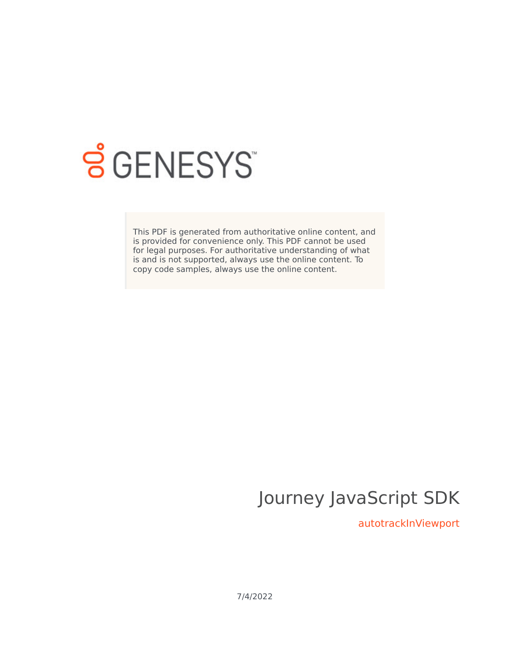

# **S** GENESYS

This PDF is generated from authoritative online content, and is provided for convenience only. This PDF cannot be used for legal purposes. For authoritative understanding of what is and is not supported, always use the online content. To copy code samples, always use the online content.

# Journey JavaScript SDK

autotrackInViewport

7/4/2022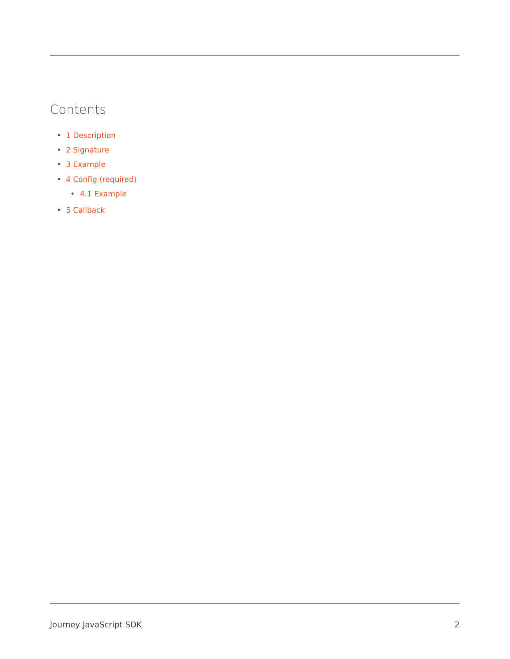### Contents

- 1 [Description](#page-2-0)
- 2 [Signature](#page-2-1)
- 3 [Example](#page-2-2)
- 4 [Config \(required\)](#page-3-0)
	- 4.1 [Example](#page-3-1)
- 5 [Callback](#page-3-2)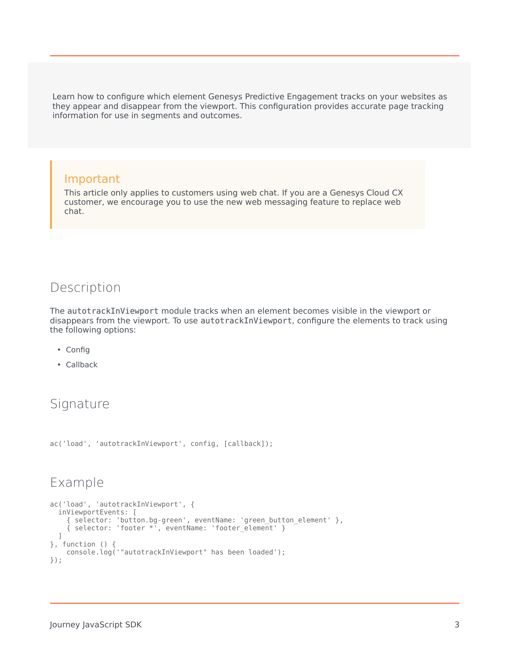Learn how to configure which element Genesys Predictive Engagement tracks on your websites as they appear and disappear from the viewport. This configuration provides accurate page tracking information for use in segments and outcomes.

#### Important

This article only applies to customers using web chat. If you are a Genesys Cloud CX customer, we encourage you to use the new web messaging feature to replace web chat.

#### <span id="page-2-0"></span>Description

The autotrackInViewport module tracks when an element becomes visible in the viewport or disappears from the viewport. To use autotrackInViewport, configure the elements to track using the following options:

- Config
- Callback

#### <span id="page-2-1"></span>Signature

```
ac('load', 'autotrackInViewport', config, [callback]);
```
#### <span id="page-2-2"></span>Example

```
ac('load', 'autotrackInViewport', {
 inViewportEvents: [
    { selector: 'button.bg-green', eventName: 'green_button_element' },
   { selector: 'footer *', eventName: 'footer_element' }
 ]
}, function () {
   console.log('"autotrackInViewport" has been loaded');
});
```